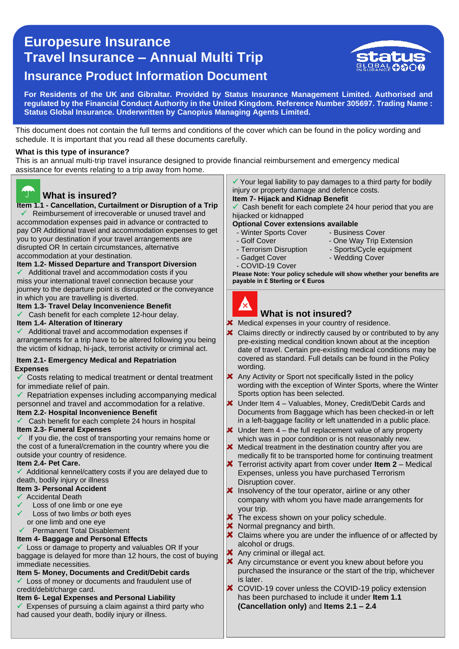# 0 **Travel Insurance – Annual Multi Trip Europesure Insurance Insurance Product Information Document**



**For Residents of the UK and Gibraltar. Provided by Status Insurance Management Limited. Authorised and regulated by the Financial Conduct Authority in the United Kingdom. Reference Number 305697. Trading Name : Status Global Insurance. Underwritten by Canopius Managing Agents Limited.** 

This document does not contain the full terms and conditions of the cover which can be found in the policy wording and schedule. It is important that you read all these documents carefully.

#### **What is this type of insurance?**

This is an annual multi-trip travel insurance designed to provide financial reimbursement and emergency medical assistance for events relating to a trip away from home.



# **What is insured?**

 **Item 1.1 - Cancellation, Curtailment or Disruption of a Trip** you to your destination if your travel arrangements are  Reimbursement of irrecoverable or unused travel and accommodation expenses paid in advance or contracted to pay OR Additional travel and accommodation expenses to get disrupted OR In certain circumstances, *a*lternative accommodation at your destination.

**Item 1.2- Missed Departure and Transport Diversion**

 Additional travel and accommodation costs if you miss your international travel connection because your journey to the departure point is disrupted or the conveyance in which you are travelling is diverted.

#### **Item 1.3- Travel Delay Inconvenience Benefit**

 $\checkmark$  Cash benefit for each complete 12-hour delay.

#### **Item 1.4- Alteration of Itinerary**

 $\checkmark$  Additional travel and accommodation expenses if arrangements for a trip have to be altered following you being the victim of kidnap, hi-jack, terrorist activity or criminal act.

#### **Item 2.1- Emergency Medical and Repatriation Expenses**

 $\checkmark$  Costs relating to medical treatment or dental treatment for immediate relief of pain.

 $\checkmark$  Repatriation expenses including accompanying medical personnel and travel and accommodation for a relative. **Item 2.2- Hospital Inconvenience Benefit**

Cash benefit for each complete 24 hours in hospital

#### **Item 2.3- Funeral Expenses**

 $\checkmark$  If you die, the cost of transporting your remains home or the cost of a funeral/cremation in the country where you die outside your country of residence.

#### **Item 2.4- Pet Care.**

 Additional kennel/cattery costs if you are delayed due to death, bodily injury or illness

#### **Item 3- Personal Accident**

- Accidental Death
- Loss of one limb or one eye
- Loss of two limbs *or* both eyes or one limb and one eye

# Permanent Total Disablement

# **Item 4- Baggage and Personal Effects**

Loss or damage to property and valuables OR If your baggage is delayed for more than 12 hours, the cost of buying immediate necessities.

# **Item 5- Money, Documents and Credit/Debit cards**

Loss of money or documents and fraudulent use of credit/debit/charge card.

## **Item 6- Legal Expenses and Personal Liability**

Expenses of pursuing a claim against a third party who had caused your death, bodily injury or illness.

 $\checkmark$  Your legal liability to pay damages to a third party for bodily injury or property damage and defence costs. **Item 7- Hijack and Kidnap Benefit**

# Cash benefit for each complete 24 hour period that you are

hijacked or kidnapped

# **Optional Cover extensions available**

- Winter Sports Cover Business Cover<br>- Golf Cover One Way Trip E
- 
- Terrorism Disruption Sports/Cycle equipment
	-
- One Way Trip Extension
- COVID-19 Cover
- Gadget Cover Wedding Cover

**Please Note: Your policy schedule will show whether your benefits are payable in £ Sterling or € Euros**



#### **What is not insured?**

Medical expenses in your country of residence.

- × Claims directly or indirectly caused by or contributed to by any pre-existing medical condition known about at the inception date of travel. Certain pre-existing medical conditions may be covered as standard. Full details can be found in the Policy wording.
- Any Activity or Sport not specifically listed in the policy wording with the exception of Winter Sports, where the Winter Sports option has been selected.
- Under Item 4 Valuables, Money, Credit/Debit Cards and Documents from Baggage which has been checked-in or left in a left-baggage facility or left unattended in a public place.
- $\star$  Under Item 4 the full replacement value of any property which was in poor condition or is not reasonably new.
- $\boldsymbol{\times}$  Medical treatment in the destination country after you are medically fit to be transported home for continuing treatment
- Terrorist activity apart from cover under **Item 2** Medical Expenses, unless you have purchased Terrorism Disruption cover.
- $\boldsymbol{\times}$  Insolvency of the tour operator, airline or any other company with whom you have made arrangements for your trip.
- X The excess shown on your policy schedule.
- **X** Normal pregnancy and birth.
- X Claims where you are under the influence of or affected by alcohol or drugs.
- **X** Any criminal or illegal act.
- **X** Any circumstance or event you knew about before you purchased the insurance or the start of the trip, whichever is later.
- × COVID-19 cover unless the COVID-19 policy extension has been purchased to include it under **Item 1.1 (Cancellation only)** and **Items 2.1 – 2.4**